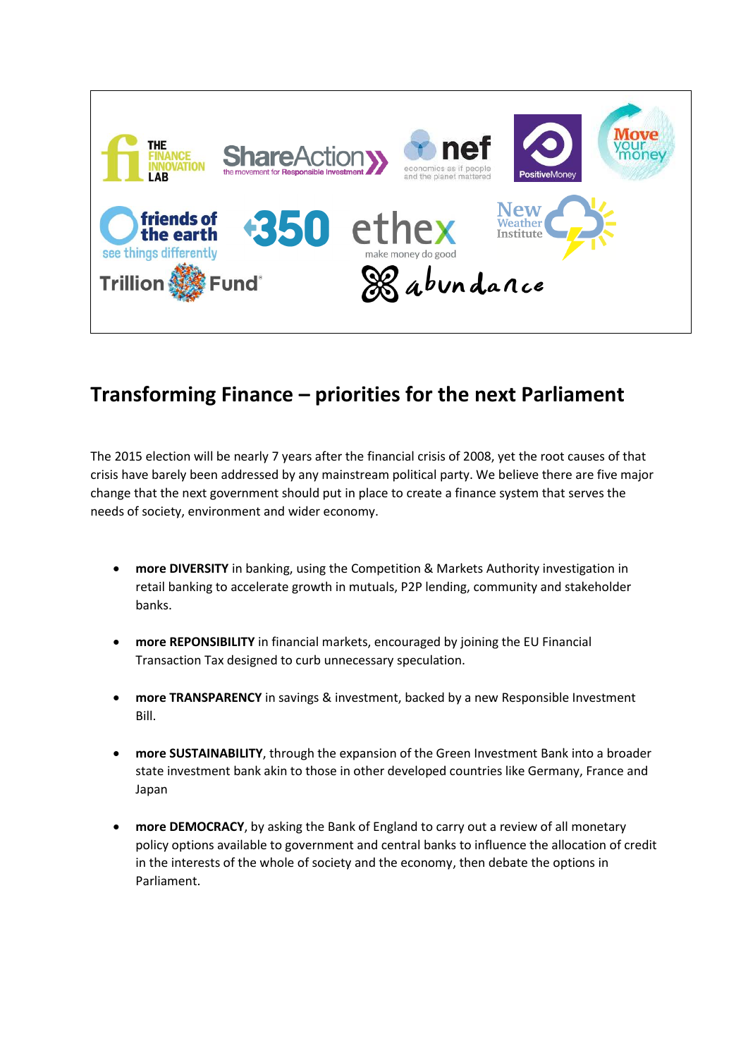

# **Transforming Finance – priorities for the next Parliament**

The 2015 election will be nearly 7 years after the financial crisis of 2008, yet the root causes of that crisis have barely been addressed by any mainstream political party. We believe there are five major change that the next government should put in place to create a finance system that serves the needs of society, environment and wider economy.

- **more DIVERSITY** in banking, using the Competition & Markets Authority investigation in retail banking to accelerate growth in mutuals, P2P lending, community and stakeholder banks.
- **more REPONSIBILITY** in financial markets, encouraged by joining the EU Financial Transaction Tax designed to curb unnecessary speculation.
- **more TRANSPARENCY** in savings & investment, backed by a new Responsible Investment Bill.
- **more SUSTAINABILITY**, through the expansion of the Green Investment Bank into a broader state investment bank akin to those in other developed countries like Germany, France and Japan
- **more DEMOCRACY**, by asking the Bank of England to carry out a review of all monetary policy options available to government and central banks to influence the allocation of credit in the interests of the whole of society and the economy, then debate the options in Parliament.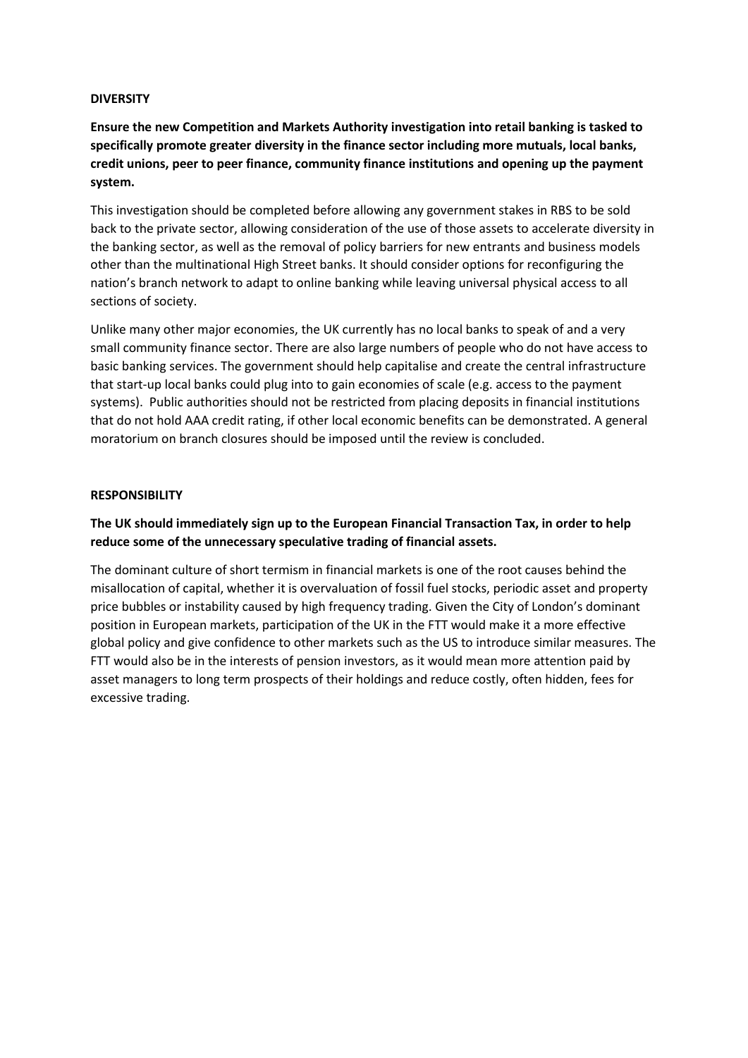#### **DIVERSITY**

**Ensure the new Competition and Markets Authority investigation into retail banking is tasked to specifically promote greater diversity in the finance sector including more mutuals, local banks, credit unions, peer to peer finance, community finance institutions and opening up the payment system.**

This investigation should be completed before allowing any government stakes in RBS to be sold back to the private sector, allowing consideration of the use of those assets to accelerate diversity in the banking sector, as well as the removal of policy barriers for new entrants and business models other than the multinational High Street banks. It should consider options for reconfiguring the nation's branch network to adapt to online banking while leaving universal physical access to all sections of society.

Unlike many other major economies, the UK currently has no local banks to speak of and a very small community finance sector. There are also large numbers of people who do not have access to basic banking services. The government should help capitalise and create the central infrastructure that start-up local banks could plug into to gain economies of scale (e.g. access to the payment systems). Public authorities should not be restricted from placing deposits in financial institutions that do not hold AAA credit rating, if other local economic benefits can be demonstrated. A general moratorium on branch closures should be imposed until the review is concluded.

#### **RESPONSIBILITY**

## **The UK should immediately sign up to the European Financial Transaction Tax, in order to help reduce some of the unnecessary speculative trading of financial assets.**

The dominant culture of short termism in financial markets is one of the root causes behind the misallocation of capital, whether it is overvaluation of fossil fuel stocks, periodic asset and property price bubbles or instability caused by high frequency trading. Given the City of London's dominant position in European markets, participation of the UK in the FTT would make it a more effective global policy and give confidence to other markets such as the US to introduce similar measures. The FTT would also be in the interests of pension investors, as it would mean more attention paid by asset managers to long term prospects of their holdings and reduce costly, often hidden, fees for excessive trading.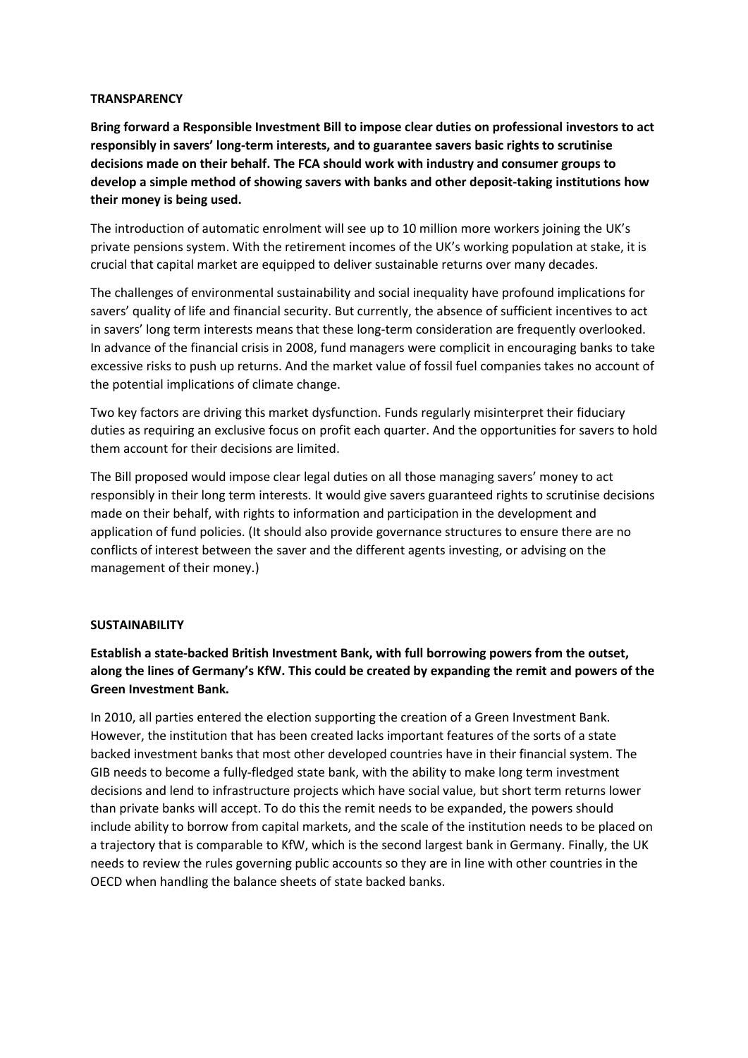#### **TRANSPARENCY**

**Bring forward a Responsible Investment Bill to impose clear duties on professional investors to act responsibly in savers' long-term interests, and to guarantee savers basic rights to scrutinise decisions made on their behalf. The FCA should work with industry and consumer groups to develop a simple method of showing savers with banks and other deposit-taking institutions how their money is being used.**

The introduction of automatic enrolment will see up to 10 million more workers joining the UK's private pensions system. With the retirement incomes of the UK's working population at stake, it is crucial that capital market are equipped to deliver sustainable returns over many decades.

The challenges of environmental sustainability and social inequality have profound implications for savers' quality of life and financial security. But currently, the absence of sufficient incentives to act in savers' long term interests means that these long-term consideration are frequently overlooked. In advance of the financial crisis in 2008, fund managers were complicit in encouraging banks to take excessive risks to push up returns. And the market value of fossil fuel companies takes no account of the potential implications of climate change.

Two key factors are driving this market dysfunction. Funds regularly misinterpret their fiduciary duties as requiring an exclusive focus on profit each quarter. And the opportunities for savers to hold them account for their decisions are limited.

The Bill proposed would impose clear legal duties on all those managing savers' money to act responsibly in their long term interests. It would give savers guaranteed rights to scrutinise decisions made on their behalf, with rights to information and participation in the development and application of fund policies. (It should also provide governance structures to ensure there are no conflicts of interest between the saver and the different agents investing, or advising on the management of their money.)

#### **SUSTAINABILITY**

# **Establish a state-backed British Investment Bank, with full borrowing powers from the outset, along the lines of Germany's KfW. This could be created by expanding the remit and powers of the Green Investment Bank.**

In 2010, all parties entered the election supporting the creation of a Green Investment Bank. However, the institution that has been created lacks important features of the sorts of a state backed investment banks that most other developed countries have in their financial system. The GIB needs to become a fully-fledged state bank, with the ability to make long term investment decisions and lend to infrastructure projects which have social value, but short term returns lower than private banks will accept. To do this the remit needs to be expanded, the powers should include ability to borrow from capital markets, and the scale of the institution needs to be placed on a trajectory that is comparable to KfW, which is the second largest bank in Germany. Finally, the UK needs to review the rules governing public accounts so they are in line with other countries in the OECD when handling the balance sheets of state backed banks.